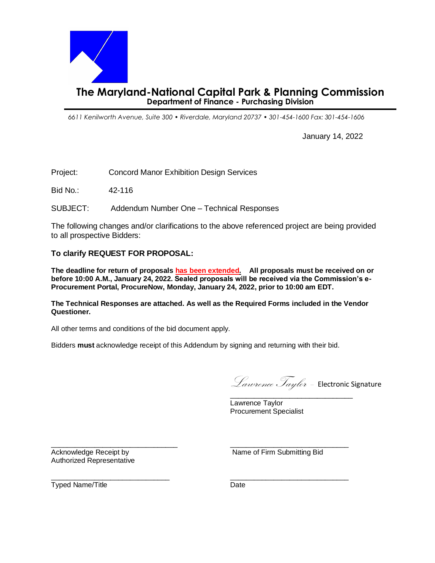

*6611 Kenilworth Avenue, Suite 300 • Riverdale, Maryland 20737 • 301-454-1600 Fax: 301-454-1606*

January 14, 2022

Project:Concord Manor Exhibition Design Services

Bid No.: 42-116

SUBJECT: Addendum Number One – Technical Responses

The following changes and/or clarifications to the above referenced project are being provided to all prospective Bidders:

## **To clarify REQUEST FOR PROPOSAL:**

**The deadline for return of proposals has been extended. All proposals must be received on or before 10:00 A.M., January 24, 2022. Sealed proposals will be received via the Commission's e-Procurement Portal, ProcureNow, Monday, January 24, 2022, prior to 10:00 am EDT.**

**The Technical Responses are attached. As well as the Required Forms included in the Vendor Questioner.** 

All other terms and conditions of the bid document apply.

Bidders **must** acknowledge receipt of this Addendum by signing and returning with their bid.

Lawrence Taylor – Electronic Signature \_\_\_\_\_\_\_\_\_\_\_\_\_\_\_\_\_\_\_\_\_\_\_\_\_\_\_\_\_\_\_

Lawrence Taylor Procurement Specialist

Authorized Representative

\_\_\_\_\_\_\_\_\_\_\_\_\_\_\_\_\_\_\_\_\_\_\_\_\_\_\_\_\_\_\_\_ \_\_\_\_\_\_\_\_\_\_\_\_\_\_\_\_\_\_\_\_\_\_\_\_\_\_\_\_\_\_ Acknowledge Receipt by Name of Firm Submitting Bid

 $\frac{1}{2}$  ,  $\frac{1}{2}$  ,  $\frac{1}{2}$  ,  $\frac{1}{2}$  ,  $\frac{1}{2}$  ,  $\frac{1}{2}$  ,  $\frac{1}{2}$  ,  $\frac{1}{2}$  ,  $\frac{1}{2}$  ,  $\frac{1}{2}$  ,  $\frac{1}{2}$  ,  $\frac{1}{2}$  ,  $\frac{1}{2}$  ,  $\frac{1}{2}$  ,  $\frac{1}{2}$  ,  $\frac{1}{2}$  ,  $\frac{1}{2}$  ,  $\frac{1}{2}$  ,  $\frac{1$ Typed Name/Title **Date** Date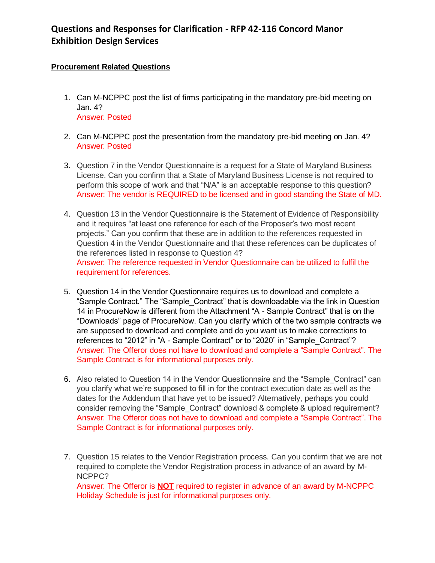# **Questions and Responses for Clarification - RFP 42-116 Concord Manor Exhibition Design Services**

# **Procurement Related Questions**

- 1. Can M-NCPPC post the list of firms participating in the mandatory pre-bid meeting on Jan. 4? Answer: Posted
- 2. Can M-NCPPC post the presentation from the mandatory pre-bid meeting on Jan. 4? Answer: Posted
- 3. Question 7 in the Vendor Questionnaire is a request for a State of Maryland Business License. Can you confirm that a State of Maryland Business License is not required to perform this scope of work and that "N/A" is an acceptable response to this question? Answer: The vendor is REQUIRED to be licensed and in good standing the State of MD.
- 4. Question 13 in the Vendor Questionnaire is the Statement of Evidence of Responsibility and it requires "at least one reference for each of the Proposer's two most recent projects." Can you confirm that these are in addition to the references requested in Question 4 in the Vendor Questionnaire and that these references can be duplicates of the references listed in response to Question 4? Answer: The reference requested in Vendor Questionnaire can be utilized to fulfil the requirement for references.
- 5. Question 14 in the Vendor Questionnaire requires us to download and complete a "Sample Contract." The "Sample\_Contract" that is downloadable via the link in Question 14 in ProcureNow is different from the Attachment "A - Sample Contract" that is on the "Downloads" page of ProcureNow. Can you clarify which of the two sample contracts we are supposed to download and complete and do you want us to make corrections to references to "2012" in "A - Sample Contract" or to "2020" in "Sample\_Contract"? Answer: The Offeror does not have to download and complete a "Sample Contract". The Sample Contract is for informational purposes only.
- 6. Also related to Question 14 in the Vendor Questionnaire and the "Sample\_Contract" can you clarify what we're supposed to fill in for the contract execution date as well as the dates for the Addendum that have yet to be issued? Alternatively, perhaps you could consider removing the "Sample Contract" download & complete & upload requirement? Answer: The Offeror does not have to download and complete a "Sample Contract". The Sample Contract is for informational purposes only.
- 7. Question 15 relates to the Vendor Registration process. Can you confirm that we are not required to complete the Vendor Registration process in advance of an award by M-NCPPC?

Answer: The Offeror is **NOT** required to register in advance of an award by M-NCPPC Holiday Schedule is just for informational purposes only.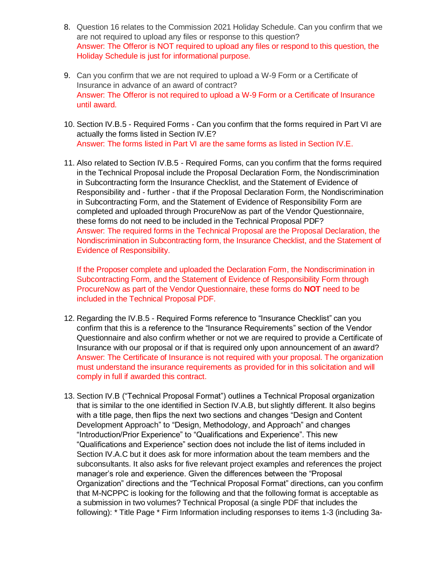- 8. Question 16 relates to the Commission 2021 Holiday Schedule. Can you confirm that we are not required to upload any files or response to this question? Answer: The Offeror is NOT required to upload any files or respond to this question, the Holiday Schedule is just for informational purpose.
- 9. Can you confirm that we are not required to upload a W-9 Form or a Certificate of Insurance in advance of an award of contract? Answer: The Offeror is not required to upload a W-9 Form or a Certificate of Insurance until award.
- 10. Section IV.B.5 Required Forms Can you confirm that the forms required in Part VI are actually the forms listed in Section IV.E? Answer: The forms listed in Part VI are the same forms as listed in Section IV.E.
- 11. Also related to Section IV.B.5 Required Forms, can you confirm that the forms required in the Technical Proposal include the Proposal Declaration Form, the Nondiscrimination in Subcontracting form the Insurance Checklist, and the Statement of Evidence of Responsibility and - further - that if the Proposal Declaration Form, the Nondiscrimination in Subcontracting Form, and the Statement of Evidence of Responsibility Form are completed and uploaded through ProcureNow as part of the Vendor Questionnaire, these forms do not need to be included in the Technical Proposal PDF? Answer: The required forms in the Technical Proposal are the Proposal Declaration, the Nondiscrimination in Subcontracting form, the Insurance Checklist, and the Statement of Evidence of Responsibility.

If the Proposer complete and uploaded the Declaration Form, the Nondiscrimination in Subcontracting Form, and the Statement of Evidence of Responsibility Form through ProcureNow as part of the Vendor Questionnaire, these forms do **NOT** need to be included in the Technical Proposal PDF.

- 12. Regarding the IV.B.5 Required Forms reference to "Insurance Checklist" can you confirm that this is a reference to the "Insurance Requirements" section of the Vendor Questionnaire and also confirm whether or not we are required to provide a Certificate of Insurance with our proposal or if that is required only upon announcement of an award? Answer: The Certificate of Insurance is not required with your proposal. The organization must understand the insurance requirements as provided for in this solicitation and will comply in full if awarded this contract.
- 13. Section IV.B ("Technical Proposal Format") outlines a Technical Proposal organization that is similar to the one identified in Section IV.A.B, but slightly different. It also begins with a title page, then flips the next two sections and changes "Design and Content Development Approach" to "Design, Methodology, and Approach" and changes "Introduction/Prior Experience" to "Qualifications and Experience". This new "Qualifications and Experience" section does not include the list of items included in Section IV.A.C but it does ask for more information about the team members and the subconsultants. It also asks for five relevant project examples and references the project manager's role and experience. Given the differences between the "Proposal Organization" directions and the "Technical Proposal Format" directions, can you confirm that M-NCPPC is looking for the following and that the following format is acceptable as a submission in two volumes? Technical Proposal (a single PDF that includes the following): \* Title Page \* Firm Information including responses to items 1-3 (including 3a-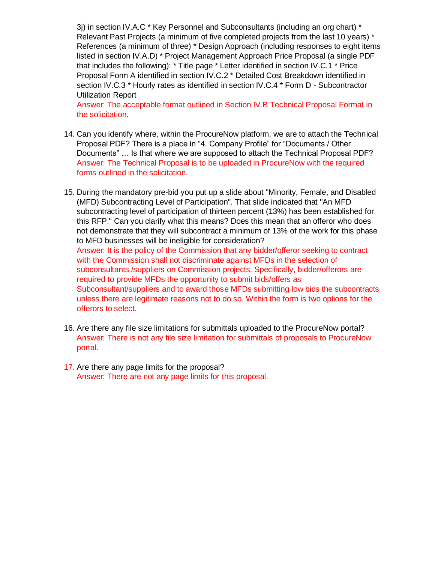3j) in section IV.A.C  $*$  Key Personnel and Subconsultants (including an org chart)  $*$ Relevant Past Projects (a minimum of five completed projects from the last 10 years) \* References (a minimum of three) \* Design Approach (including responses to eight items listed in section IV.A.D) \* Project Management Approach Price Proposal (a single PDF that includes the following): \* Title page \* Letter identified in section IV.C.1 \* Price Proposal Form A identified in section IV.C.2 \* Detailed Cost Breakdown identified in section IV.C.3 \* Hourly rates as identified in section IV.C.4 \* Form D - Subcontractor Utilization Report

Answer: The acceptable format outlined in Section IV.B Technical Proposal Format in the solicitation.

- 14. Can you identify where, within the ProcureNow platform, we are to attach the Technical Proposal PDF? There is a place in "4. Company Profile" for "Documents / Other Documents" … Is that where we are supposed to attach the Technical Proposal PDF? Answer: The Technical Proposal is to be uploaded in ProcureNow with the required forms outlined in the solicitation.
- 15. During the mandatory pre-bid you put up a slide about "Minority, Female, and Disabled (MFD) Subcontracting Level of Participation". That slide indicated that "An MFD subcontracting level of participation of thirteen percent (13%) has been established for this RFP." Can you clarify what this means? Does this mean that an offeror who does not demonstrate that they will subcontract a minimum of 13% of the work for this phase to MFD businesses will be ineligible for consideration? Answer: It is the policy of the Commission that any bidder/offeror seeking to contract with the Commission shall not discriminate against MFDs in the selection of subconsultants /suppliers on Commission projects. Specifically, bidder/offerors are required to provide MFDs the opportunity to submit bids/offers as Subconsultant/suppliers and to award those MFDs submitting low bids the subcontracts unless there are legitimate reasons not to do so. Within the form is two options for the offerors to select.
- 16. Are there any file size limitations for submittals uploaded to the ProcureNow portal? Answer: There is not any file size limitation for submittals of proposals to ProcureNow portal.
- 17. Are there any page limits for the proposal? Answer: There are not any page limits for this proposal.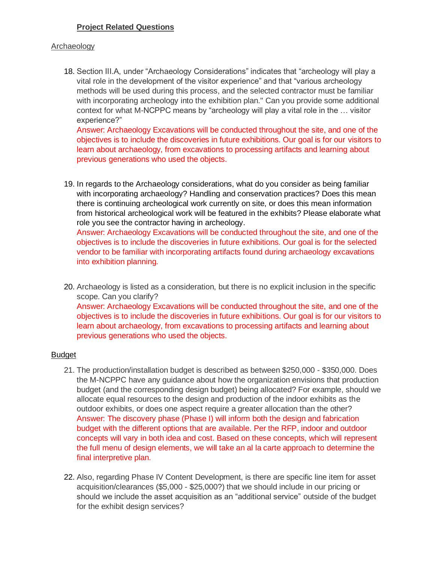# **Project Related Questions**

#### **Archaeology**

18. Section III.A, under "Archaeology Considerations" indicates that "archeology will play a vital role in the development of the visitor experience" and that "various archeology methods will be used during this process, and the selected contractor must be familiar with incorporating archeology into the exhibition plan." Can you provide some additional context for what M-NCPPC means by "archeology will play a vital role in the … visitor experience?"

Answer: Archaeology Excavations will be conducted throughout the site, and one of the objectives is to include the discoveries in future exhibitions. Our goal is for our visitors to learn about archaeology, from excavations to processing artifacts and learning about previous generations who used the objects.

19. In regards to the Archaeology considerations, what do you consider as being familiar with incorporating archaeology? Handling and conservation practices? Does this mean there is continuing archeological work currently on site, or does this mean information from historical archeological work will be featured in the exhibits? Please elaborate what role you see the contractor having in archeology. Answer: Archaeology Excavations will be conducted throughout the site, and one of the objectives is to include the discoveries in future exhibitions. Our goal is for the selected vendor to be familiar with incorporating artifacts found during archaeology excavations

into exhibition planning.

20. Archaeology is listed as a consideration, but there is no explicit inclusion in the specific scope. Can you clarify? Answer: Archaeology Excavations will be conducted throughout the site, and one of the objectives is to include the discoveries in future exhibitions. Our goal is for our visitors to learn about archaeology, from excavations to processing artifacts and learning about previous generations who used the objects.

#### **Budget**

- 21. The production/installation budget is described as between \$250,000 \$350,000. Does the M-NCPPC have any guidance about how the organization envisions that production budget (and the corresponding design budget) being allocated? For example, should we allocate equal resources to the design and production of the indoor exhibits as the outdoor exhibits, or does one aspect require a greater allocation than the other? Answer: The discovery phase (Phase I) will inform both the design and fabrication budget with the different options that are available. Per the RFP, indoor and outdoor concepts will vary in both idea and cost. Based on these concepts, which will represent the full menu of design elements, we will take an al la carte approach to determine the final interpretive plan.
- 22. Also, regarding Phase IV Content Development, is there are specific line item for asset acquisition/clearances (\$5,000 - \$25,000?) that we should include in our pricing or should we include the asset acquisition as an "additional service" outside of the budget for the exhibit design services?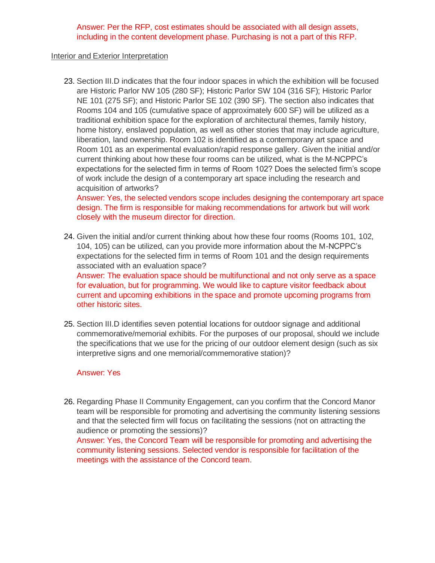#### Answer: Per the RFP, cost estimates should be associated with all design assets, including in the content development phase. Purchasing is not a part of this RFP.

#### Interior and Exterior Interpretation

23. Section III.D indicates that the four indoor spaces in which the exhibition will be focused are Historic Parlor NW 105 (280 SF); Historic Parlor SW 104 (316 SF); Historic Parlor NE 101 (275 SF); and Historic Parlor SE 102 (390 SF). The section also indicates that Rooms 104 and 105 (cumulative space of approximately 600 SF) will be utilized as a traditional exhibition space for the exploration of architectural themes, family history, home history, enslaved population, as well as other stories that may include agriculture, liberation, land ownership. Room 102 is identified as a contemporary art space and Room 101 as an experimental evaluation/rapid response gallery. Given the initial and/or current thinking about how these four rooms can be utilized, what is the M-NCPPC's expectations for the selected firm in terms of Room 102? Does the selected firm's scope of work include the design of a contemporary art space including the research and acquisition of artworks?

Answer: Yes, the selected vendors scope includes designing the contemporary art space design. The firm is responsible for making recommendations for artwork but will work closely with the museum director for direction.

24. Given the initial and/or current thinking about how these four rooms (Rooms 101, 102, 104, 105) can be utilized, can you provide more information about the M-NCPPC's expectations for the selected firm in terms of Room 101 and the design requirements associated with an evaluation space?

Answer: The evaluation space should be multifunctional and not only serve as a space for evaluation, but for programming. We would like to capture visitor feedback about current and upcoming exhibitions in the space and promote upcoming programs from other historic sites.

25. Section III.D identifies seven potential locations for outdoor signage and additional commemorative/memorial exhibits. For the purposes of our proposal, should we include the specifications that we use for the pricing of our outdoor element design (such as six interpretive signs and one memorial/commemorative station)?

## Answer: Yes

26. Regarding Phase II Community Engagement, can you confirm that the Concord Manor team will be responsible for promoting and advertising the community listening sessions and that the selected firm will focus on facilitating the sessions (not on attracting the audience or promoting the sessions)? Answer: Yes, the Concord Team will be responsible for promoting and advertising the community listening sessions. Selected vendor is responsible for facilitation of the meetings with the assistance of the Concord team.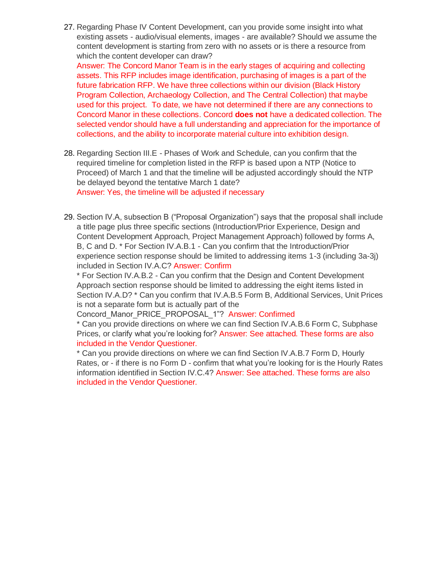27. Regarding Phase IV Content Development, can you provide some insight into what existing assets - audio/visual elements, images - are available? Should we assume the content development is starting from zero with no assets or is there a resource from which the content developer can draw?

Answer: The Concord Manor Team is in the early stages of acquiring and collecting assets. This RFP includes image identification, purchasing of images is a part of the future fabrication RFP. We have three collections within our division (Black History Program Collection, Archaeology Collection, and The Central Collection) that maybe used for this project. To date, we have not determined if there are any connections to Concord Manor in these collections. Concord **does not** have a dedicated collection. The selected vendor should have a full understanding and appreciation for the importance of collections, and the ability to incorporate material culture into exhibition design.

- 28. Regarding Section III.E Phases of Work and Schedule, can you confirm that the required timeline for completion listed in the RFP is based upon a NTP (Notice to Proceed) of March 1 and that the timeline will be adjusted accordingly should the NTP be delayed beyond the tentative March 1 date? Answer: Yes, the timeline will be adjusted if necessary
- 29. Section IV.A, subsection B ("Proposal Organization") says that the proposal shall include a title page plus three specific sections (Introduction/Prior Experience, Design and Content Development Approach, Project Management Approach) followed by forms A, B, C and D. \* For Section IV.A.B.1 - Can you confirm that the Introduction/Prior experience section response should be limited to addressing items 1-3 (including 3a-3j) included in Section IV.A.C? Answer: Confirm

\* For Section IV.A.B.2 - Can you confirm that the Design and Content Development Approach section response should be limited to addressing the eight items listed in Section IV.A.D? \* Can you confirm that IV.A.B.5 Form B, Additional Services, Unit Prices is not a separate form but is actually part of the

Concord\_Manor\_PRICE\_PROPOSAL\_1"? Answer: Confirmed

\* Can you provide directions on where we can find Section IV.A.B.6 Form C, Subphase Prices, or clarify what you're looking for? Answer: See attached. These forms are also included in the Vendor Questioner.

\* Can you provide directions on where we can find Section IV.A.B.7 Form D, Hourly Rates, or - if there is no Form D - confirm that what you're looking for is the Hourly Rates information identified in Section IV.C.4? Answer: See attached. These forms are also included in the Vendor Questioner.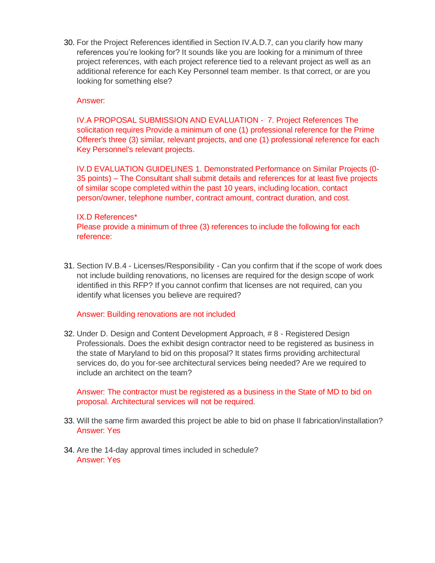30. For the Project References identified in Section IV.A.D.7, can you clarify how many references you're looking for? It sounds like you are looking for a minimum of three project references, with each project reference tied to a relevant project as well as an additional reference for each Key Personnel team member. Is that correct, or are you looking for something else?

# Answer:

IV.A PROPOSAL SUBMISSION AND EVALUATION - 7. Project References The solicitation requires Provide a minimum of one (1) professional reference for the Prime Offerer's three (3) similar, relevant projects, and one (1) professional reference for each Key Personnel's relevant projects.

IV.D EVALUATION GUIDELINES 1. Demonstrated Performance on Similar Projects (0- 35 points) – The Consultant shall submit details and references for at least five projects of similar scope completed within the past 10 years, including location, contact person/owner, telephone number, contract amount, contract duration, and cost.

#### IX.D References\*

Please provide a minimum of three (3) references to include the following for each reference:

31. Section IV.B.4 - Licenses/Responsibility - Can you confirm that if the scope of work does not include building renovations, no licenses are required for the design scope of work identified in this RFP? If you cannot confirm that licenses are not required, can you identify what licenses you believe are required?

## Answer: Building renovations are not included

32. Under D. Design and Content Development Approach, # 8 - Registered Design Professionals. Does the exhibit design contractor need to be registered as business in the state of Maryland to bid on this proposal? It states firms providing architectural services do, do you for-see architectural services being needed? Are we required to include an architect on the team?

Answer: The contractor must be registered as a business in the State of MD to bid on proposal. Architectural services will not be required.

- 33. Will the same firm awarded this project be able to bid on phase II fabrication/installation? Answer: Yes
- 34. Are the 14-day approval times included in schedule? Answer: Yes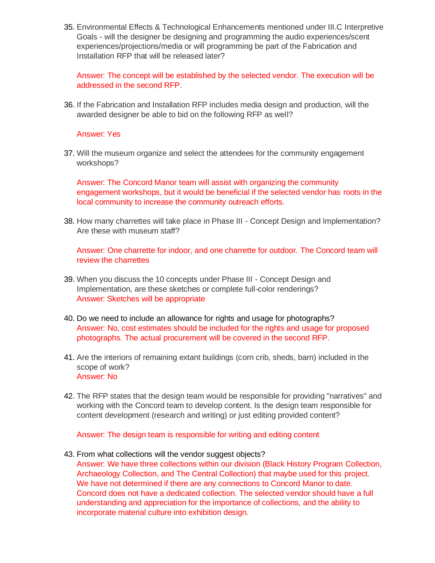35. Environmental Effects & Technological Enhancements mentioned under III.C Interpretive Goals - will the designer be designing and programming the audio experiences/scent experiences/projections/media or will programming be part of the Fabrication and Installation RFP that will be released later?

Answer: The concept will be established by the selected vendor. The execution will be addressed in the second RFP.

36. If the Fabrication and Installation RFP includes media design and production, will the awarded designer be able to bid on the following RFP as well?

#### Answer: Yes

37. Will the museum organize and select the attendees for the community engagement workshops?

Answer: The Concord Manor team will assist with organizing the community engagement workshops, but it would be beneficial if the selected vendor has roots in the local community to increase the community outreach efforts.

38. How many charrettes will take place in Phase III - Concept Design and Implementation? Are these with museum staff?

Answer: One charrette for indoor, and one charrette for outdoor. The Concord team will review the charrettes

- 39. When you discuss the 10 concepts under Phase III Concept Design and Implementation, are these sketches or complete full-color renderings? Answer: Sketches will be appropriate
- 40. Do we need to include an allowance for rights and usage for photographs? Answer: No, cost estimates should be included for the rights and usage for proposed photographs. The actual procurement will be covered in the second RFP.
- 41. Are the interiors of remaining extant buildings (corn crib, sheds, barn) included in the scope of work? Answer: No
- 42. The RFP states that the design team would be responsible for providing "narratives" and working with the Concord team to develop content. Is the design team responsible for content development (research and writing) or just editing provided content?

Answer: The design team is responsible for writing and editing content

43. From what collections will the vendor suggest objects?

Answer: We have three collections within our division (Black History Program Collection, Archaeology Collection, and The Central Collection) that maybe used for this project. We have not determined if there are any connections to Concord Manor to date. Concord does not have a dedicated collection. The selected vendor should have a full understanding and appreciation for the importance of collections, and the ability to incorporate material culture into exhibition design.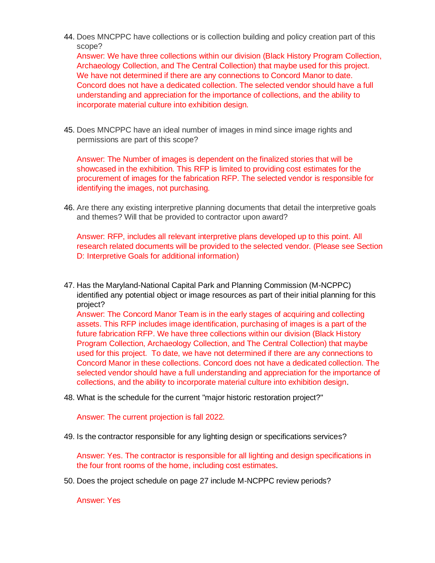44. Does MNCPPC have collections or is collection building and policy creation part of this scope?

Answer: We have three collections within our division (Black History Program Collection, Archaeology Collection, and The Central Collection) that maybe used for this project. We have not determined if there are any connections to Concord Manor to date. Concord does not have a dedicated collection. The selected vendor should have a full understanding and appreciation for the importance of collections, and the ability to incorporate material culture into exhibition design.

45. Does MNCPPC have an ideal number of images in mind since image rights and permissions are part of this scope?

Answer: The Number of images is dependent on the finalized stories that will be showcased in the exhibition. This RFP is limited to providing cost estimates for the procurement of images for the fabrication RFP. The selected vendor is responsible for identifying the images, not purchasing.

46. Are there any existing interpretive planning documents that detail the interpretive goals and themes? Will that be provided to contractor upon award?

Answer: RFP, includes all relevant interpretive plans developed up to this point. All research related documents will be provided to the selected vendor. (Please see Section D: Interpretive Goals for additional information)

47. Has the Maryland-National Capital Park and Planning Commission (M-NCPPC) identified any potential object or image resources as part of their initial planning for this project? Answer: The Concord Manor Team is in the early stages of acquiring and collecting

assets. This RFP includes image identification, purchasing of images is a part of the future fabrication RFP. We have three collections within our division (Black History Program Collection, Archaeology Collection, and The Central Collection) that maybe used for this project. To date, we have not determined if there are any connections to Concord Manor in these collections. Concord does not have a dedicated collection. The selected vendor should have a full understanding and appreciation for the importance of collections, and the ability to incorporate material culture into exhibition design.

48. What is the schedule for the current "major historic restoration project?"

Answer: The current projection is fall 2022.

49. Is the contractor responsible for any lighting design or specifications services?

Answer: Yes. The contractor is responsible for all lighting and design specifications in the four front rooms of the home, including cost estimates.

50. Does the project schedule on page 27 include M-NCPPC review periods?

Answer: Yes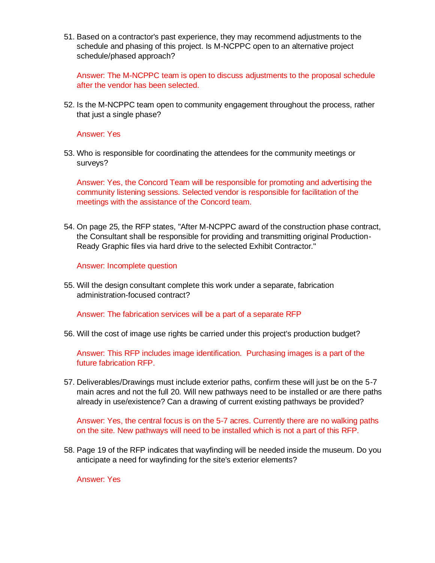51. Based on a contractor's past experience, they may recommend adjustments to the schedule and phasing of this project. Is M-NCPPC open to an alternative project schedule/phased approach?

Answer: The M-NCPPC team is open to discuss adjustments to the proposal schedule after the vendor has been selected.

52. Is the M-NCPPC team open to community engagement throughout the process, rather that just a single phase?

#### Answer: Yes

53. Who is responsible for coordinating the attendees for the community meetings or surveys?

Answer: Yes, the Concord Team will be responsible for promoting and advertising the community listening sessions. Selected vendor is responsible for facilitation of the meetings with the assistance of the Concord team.

54. On page 25, the RFP states, "After M-NCPPC award of the construction phase contract, the Consultant shall be responsible for providing and transmitting original Production-Ready Graphic files via hard drive to the selected Exhibit Contractor."

#### Answer: Incomplete question

55. Will the design consultant complete this work under a separate, fabrication administration-focused contract?

Answer: The fabrication services will be a part of a separate RFP

56. Will the cost of image use rights be carried under this project's production budget?

Answer: This RFP includes image identification. Purchasing images is a part of the future fabrication RFP.

57. Deliverables/Drawings must include exterior paths, confirm these will just be on the 5-7 main acres and not the full 20. Will new pathways need to be installed or are there paths already in use/existence? Can a drawing of current existing pathways be provided?

Answer: Yes, the central focus is on the 5-7 acres. Currently there are no walking paths on the site. New pathways will need to be installed which is not a part of this RFP.

58. Page 19 of the RFP indicates that wayfinding will be needed inside the museum. Do you anticipate a need for wayfinding for the site's exterior elements?

Answer: Yes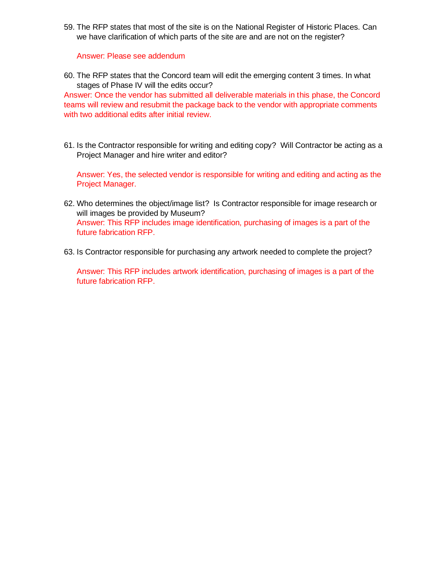59. The RFP states that most of the site is on the National Register of Historic Places. Can we have clarification of which parts of the site are and are not on the register?

Answer: Please see addendum

60. The RFP states that the Concord team will edit the emerging content 3 times. In what stages of Phase IV will the edits occur?

Answer: Once the vendor has submitted all deliverable materials in this phase, the Concord teams will review and resubmit the package back to the vendor with appropriate comments with two additional edits after initial review.

61. Is the Contractor responsible for writing and editing copy? Will Contractor be acting as a Project Manager and hire writer and editor?

Answer: Yes, the selected vendor is responsible for writing and editing and acting as the Project Manager.

- 62. Who determines the object/image list? Is Contractor responsible for image research or will images be provided by Museum? Answer: This RFP includes image identification, purchasing of images is a part of the future fabrication RFP.
- 63. Is Contractor responsible for purchasing any artwork needed to complete the project?

Answer: This RFP includes artwork identification, purchasing of images is a part of the future fabrication RFP.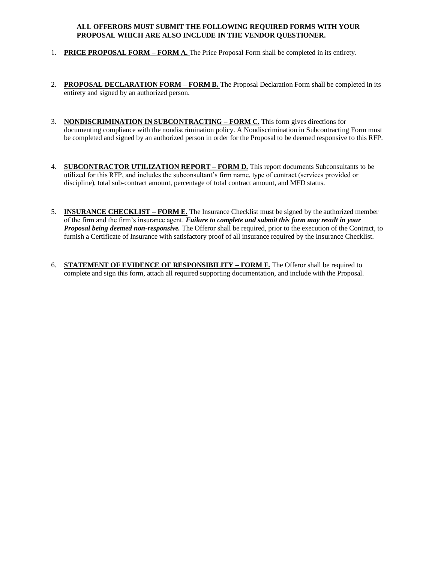#### **ALL OFFERORS MUST SUBMIT THE FOLLOWING REQUIRED FORMS WITH YOUR PROPOSAL WHICH ARE ALSO INCLUDE IN THE VENDOR QUESTIONER.**

- 1. **PRICE PROPOSAL FORM – FORM A.** The Price Proposal Form shall be completed in its entirety.
- 2. **PROPOSAL DECLARATION FORM – FORM B.** The Proposal Declaration Form shall be completed in its entirety and signed by an authorized person.
- 3. **NONDISCRIMINATION IN SUBCONTRACTING – FORM C***.* This form gives directions for documenting compliance with the nondiscrimination policy. A Nondiscrimination in Subcontracting Form must be completed and signed by an authorized person in order for the Proposal to be deemed responsive to this RFP.
- 4. **SUBCONTRACTOR UTILIZATION REPORT – FORM D.** This report documents Subconsultants to be utilized for this RFP, and includes the subconsultant's firm name, type of contract (services provided or discipline), total sub-contract amount, percentage of total contract amount, and MFD status.
- 5. **INSURANCE CHECKLIST – FORM E.** The Insurance Checklist must be signed by the authorized member of the firm and the firm's insurance agent. *Failure to complete and submit this form may result in your Proposal being deemed non-responsive.* The Offeror shall be required, prior to the execution of the Contract, to furnish a Certificate of Insurance with satisfactory proof of all insurance required by the Insurance Checklist.
- 6. **STATEMENT OF EVIDENCE OF RESPONSIBILITY – FORM F.** The Offeror shall be required to complete and sign this form, attach all required supporting documentation, and include with the Proposal.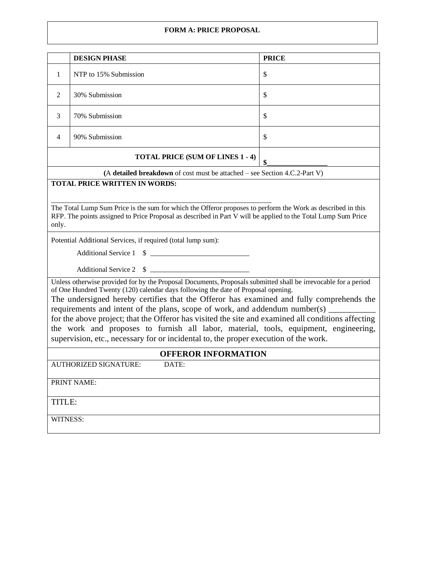#### **FORM A: PRICE PROPOSAL**

|                                                                                                                                                                                                                                                                                                                                                                                                                                                                                                                                                                                                                                                                           | <b>DESIGN PHASE</b>                                                          | <b>PRICE</b> |  |  |
|---------------------------------------------------------------------------------------------------------------------------------------------------------------------------------------------------------------------------------------------------------------------------------------------------------------------------------------------------------------------------------------------------------------------------------------------------------------------------------------------------------------------------------------------------------------------------------------------------------------------------------------------------------------------------|------------------------------------------------------------------------------|--------------|--|--|
| 1                                                                                                                                                                                                                                                                                                                                                                                                                                                                                                                                                                                                                                                                         | NTP to 15% Submission                                                        | \$           |  |  |
| 2                                                                                                                                                                                                                                                                                                                                                                                                                                                                                                                                                                                                                                                                         | 30% Submission                                                               | \$           |  |  |
| 3                                                                                                                                                                                                                                                                                                                                                                                                                                                                                                                                                                                                                                                                         | 70% Submission                                                               | \$           |  |  |
| 4                                                                                                                                                                                                                                                                                                                                                                                                                                                                                                                                                                                                                                                                         | 90% Submission                                                               | \$           |  |  |
|                                                                                                                                                                                                                                                                                                                                                                                                                                                                                                                                                                                                                                                                           | <b>TOTAL PRICE (SUM OF LINES 1 - 4)</b>                                      | \$           |  |  |
|                                                                                                                                                                                                                                                                                                                                                                                                                                                                                                                                                                                                                                                                           | (A detailed breakdown of cost must be attached $-$ see Section 4.C.2-Part V) |              |  |  |
| <b>TOTAL PRICE WRITTEN IN WORDS:</b><br>The Total Lump Sum Price is the sum for which the Offeror proposes to perform the Work as described in this<br>RFP. The points assigned to Price Proposal as described in Part V will be applied to the Total Lump Sum Price<br>only.                                                                                                                                                                                                                                                                                                                                                                                             |                                                                              |              |  |  |
|                                                                                                                                                                                                                                                                                                                                                                                                                                                                                                                                                                                                                                                                           |                                                                              |              |  |  |
| Potential Additional Services, if required (total lump sum):                                                                                                                                                                                                                                                                                                                                                                                                                                                                                                                                                                                                              |                                                                              |              |  |  |
| Additional Service 1 \$                                                                                                                                                                                                                                                                                                                                                                                                                                                                                                                                                                                                                                                   |                                                                              |              |  |  |
| Additional Service 2 \$                                                                                                                                                                                                                                                                                                                                                                                                                                                                                                                                                                                                                                                   |                                                                              |              |  |  |
| Unless otherwise provided for by the Proposal Documents, Proposals submitted shall be irrevocable for a period<br>of One Hundred Twenty (120) calendar days following the date of Proposal opening.<br>The undersigned hereby certifies that the Offeror has examined and fully comprehends the<br>requirements and intent of the plans, scope of work, and addendum number(s) ____<br>for the above project; that the Offeror has visited the site and examined all conditions affecting<br>the work and proposes to furnish all labor, material, tools, equipment, engineering,<br>supervision, etc., necessary for or incidental to, the proper execution of the work. |                                                                              |              |  |  |
| <b>OFFEROR INFORMATION</b>                                                                                                                                                                                                                                                                                                                                                                                                                                                                                                                                                                                                                                                |                                                                              |              |  |  |
| <b>AUTHORIZED SIGNATURE:</b><br>DATE:                                                                                                                                                                                                                                                                                                                                                                                                                                                                                                                                                                                                                                     |                                                                              |              |  |  |
| PRINT NAME:                                                                                                                                                                                                                                                                                                                                                                                                                                                                                                                                                                                                                                                               |                                                                              |              |  |  |
| TITLE:                                                                                                                                                                                                                                                                                                                                                                                                                                                                                                                                                                                                                                                                    |                                                                              |              |  |  |
| WITNESS:                                                                                                                                                                                                                                                                                                                                                                                                                                                                                                                                                                                                                                                                  |                                                                              |              |  |  |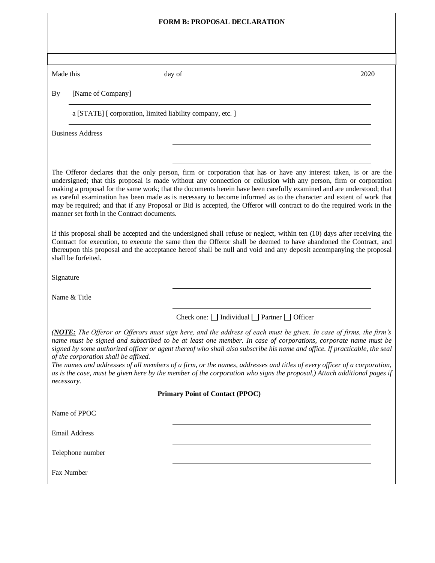| <b>FORM B: PROPOSAL DECLARATION</b>                                                                                                                                                                                                                                                                                                                                                                                                                                                                                                                                                                                                                                                                                                                                                                                                                                                                           |                                                                                                                                                                                                                                                                                                                                                                                                                                                                                                                                                                                                                        |      |  |  |
|---------------------------------------------------------------------------------------------------------------------------------------------------------------------------------------------------------------------------------------------------------------------------------------------------------------------------------------------------------------------------------------------------------------------------------------------------------------------------------------------------------------------------------------------------------------------------------------------------------------------------------------------------------------------------------------------------------------------------------------------------------------------------------------------------------------------------------------------------------------------------------------------------------------|------------------------------------------------------------------------------------------------------------------------------------------------------------------------------------------------------------------------------------------------------------------------------------------------------------------------------------------------------------------------------------------------------------------------------------------------------------------------------------------------------------------------------------------------------------------------------------------------------------------------|------|--|--|
|                                                                                                                                                                                                                                                                                                                                                                                                                                                                                                                                                                                                                                                                                                                                                                                                                                                                                                               |                                                                                                                                                                                                                                                                                                                                                                                                                                                                                                                                                                                                                        |      |  |  |
|                                                                                                                                                                                                                                                                                                                                                                                                                                                                                                                                                                                                                                                                                                                                                                                                                                                                                                               |                                                                                                                                                                                                                                                                                                                                                                                                                                                                                                                                                                                                                        |      |  |  |
| Made this                                                                                                                                                                                                                                                                                                                                                                                                                                                                                                                                                                                                                                                                                                                                                                                                                                                                                                     | day of                                                                                                                                                                                                                                                                                                                                                                                                                                                                                                                                                                                                                 | 2020 |  |  |
| [Name of Company]<br>By                                                                                                                                                                                                                                                                                                                                                                                                                                                                                                                                                                                                                                                                                                                                                                                                                                                                                       |                                                                                                                                                                                                                                                                                                                                                                                                                                                                                                                                                                                                                        |      |  |  |
| a [STATE] [ corporation, limited liability company, etc. ]                                                                                                                                                                                                                                                                                                                                                                                                                                                                                                                                                                                                                                                                                                                                                                                                                                                    |                                                                                                                                                                                                                                                                                                                                                                                                                                                                                                                                                                                                                        |      |  |  |
| <b>Business Address</b>                                                                                                                                                                                                                                                                                                                                                                                                                                                                                                                                                                                                                                                                                                                                                                                                                                                                                       |                                                                                                                                                                                                                                                                                                                                                                                                                                                                                                                                                                                                                        |      |  |  |
|                                                                                                                                                                                                                                                                                                                                                                                                                                                                                                                                                                                                                                                                                                                                                                                                                                                                                                               |                                                                                                                                                                                                                                                                                                                                                                                                                                                                                                                                                                                                                        |      |  |  |
| The Offeror declares that the only person, firm or corporation that has or have any interest taken, is or are the<br>undersigned; that this proposal is made without any connection or collusion with any person, firm or corporation<br>making a proposal for the same work; that the documents herein have been carefully examined and are understood; that<br>as careful examination has been made as is necessary to become informed as to the character and extent of work that<br>may be required; and that if any Proposal or Bid is accepted, the Offeror will contract to do the required work in the<br>manner set forth in the Contract documents.<br>If this proposal shall be accepted and the undersigned shall refuse or neglect, within ten (10) days after receiving the<br>Contract for execution, to execute the same then the Offeror shall be deemed to have abandoned the Contract, and |                                                                                                                                                                                                                                                                                                                                                                                                                                                                                                                                                                                                                        |      |  |  |
| shall be forfeited.<br>Signature                                                                                                                                                                                                                                                                                                                                                                                                                                                                                                                                                                                                                                                                                                                                                                                                                                                                              | thereupon this proposal and the acceptance hereof shall be null and void and any deposit accompanying the proposal                                                                                                                                                                                                                                                                                                                                                                                                                                                                                                     |      |  |  |
| Name & Title                                                                                                                                                                                                                                                                                                                                                                                                                                                                                                                                                                                                                                                                                                                                                                                                                                                                                                  |                                                                                                                                                                                                                                                                                                                                                                                                                                                                                                                                                                                                                        |      |  |  |
|                                                                                                                                                                                                                                                                                                                                                                                                                                                                                                                                                                                                                                                                                                                                                                                                                                                                                                               | Check one: $\Box$ Individual $\Box$ Partner $\Box$ Officer                                                                                                                                                                                                                                                                                                                                                                                                                                                                                                                                                             |      |  |  |
| of the corporation shall be affixed.<br>necessary.                                                                                                                                                                                                                                                                                                                                                                                                                                                                                                                                                                                                                                                                                                                                                                                                                                                            | (NOTE: The Offeror or Offerors must sign here, and the address of each must be given. In case of firms, the firm's<br>name must be signed and subscribed to be at least one member. In case of corporations, corporate name must be<br>signed by some authorized officer or agent thereof who shall also subscribe his name and office. If practicable, the seal<br>The names and addresses of all members of a firm, or the names, addresses and titles of every officer of a corporation,<br>as is the case, must be given here by the member of the corporation who signs the proposal.) Attach additional pages if |      |  |  |
| <b>Primary Point of Contact (PPOC)</b>                                                                                                                                                                                                                                                                                                                                                                                                                                                                                                                                                                                                                                                                                                                                                                                                                                                                        |                                                                                                                                                                                                                                                                                                                                                                                                                                                                                                                                                                                                                        |      |  |  |
| Name of PPOC                                                                                                                                                                                                                                                                                                                                                                                                                                                                                                                                                                                                                                                                                                                                                                                                                                                                                                  |                                                                                                                                                                                                                                                                                                                                                                                                                                                                                                                                                                                                                        |      |  |  |
| <b>Email Address</b>                                                                                                                                                                                                                                                                                                                                                                                                                                                                                                                                                                                                                                                                                                                                                                                                                                                                                          |                                                                                                                                                                                                                                                                                                                                                                                                                                                                                                                                                                                                                        |      |  |  |
| Telephone number                                                                                                                                                                                                                                                                                                                                                                                                                                                                                                                                                                                                                                                                                                                                                                                                                                                                                              |                                                                                                                                                                                                                                                                                                                                                                                                                                                                                                                                                                                                                        |      |  |  |
| Fax Number                                                                                                                                                                                                                                                                                                                                                                                                                                                                                                                                                                                                                                                                                                                                                                                                                                                                                                    |                                                                                                                                                                                                                                                                                                                                                                                                                                                                                                                                                                                                                        |      |  |  |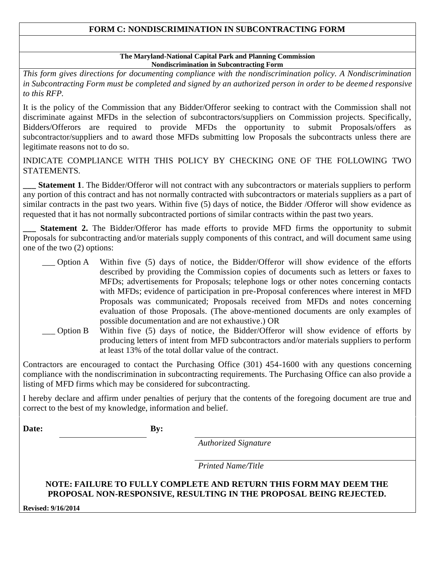# **FORM C: NONDISCRIMINATION IN SUBCONTRACTING FORM**

#### **The Maryland-National Capital Park and Planning Commission Nondiscrimination in Subcontracting Form**

*This form gives directions for documenting compliance with the nondiscrimination policy. A Nondiscrimination in Subcontracting Form must be completed and signed by an authorized person in order to be deemed responsive to this RFP.* 

It is the policy of the Commission that any Bidder/Offeror seeking to contract with the Commission shall not discriminate against MFDs in the selection of subcontractors/suppliers on Commission projects. Specifically, Bidders/Offerors are required to provide MFDs the opportunity to submit Proposals/offers as subcontractor/suppliers and to award those MFDs submitting low Proposals the subcontracts unless there are legitimate reasons not to do so.

INDICATE COMPLIANCE WITH THIS POLICY BY CHECKING ONE OF THE FOLLOWING TWO STATEMENTS.

**Statement 1**. The Bidder/Offeror will not contract with any subcontractors or materials suppliers to perform any portion of this contract and has not normally contracted with subcontractors or materials suppliers as a part of similar contracts in the past two years. Within five (5) days of notice, the Bidder /Offeror will show evidence as requested that it has not normally subcontracted portions of similar contracts within the past two years.

**Statement 2.** The Bidder/Offeror has made efforts to provide MFD firms the opportunity to submit Proposals for subcontracting and/or materials supply components of this contract, and will document same using one of the two (2) options:

- \_\_\_ Option A Within five (5) days of notice, the Bidder/Offeror will show evidence of the efforts described by providing the Commission copies of documents such as letters or faxes to MFDs; advertisements for Proposals; telephone logs or other notes concerning contacts with MFDs; evidence of participation in pre-Proposal conferences where interest in MFD Proposals was communicated; Proposals received from MFDs and notes concerning evaluation of those Proposals. (The above-mentioned documents are only examples of possible documentation and are not exhaustive.) OR
- \_\_\_ Option B Within five (5) days of notice, the Bidder/Offeror will show evidence of efforts by producing letters of intent from MFD subcontractors and/or materials suppliers to perform at least 13% of the total dollar value of the contract.

Contractors are encouraged to contact the Purchasing Office (301) 454-1600 with any questions concerning compliance with the nondiscrimination in subcontracting requirements. The Purchasing Office can also provide a listing of MFD firms which may be considered for subcontracting.

I hereby declare and affirm under penalties of perjury that the contents of the foregoing document are true and correct to the best of my knowledge, information and belief.

**Date: By:**

*Authorized Signature*

*Printed Name/Title*

# **NOTE: FAILURE TO FULLY COMPLETE AND RETURN THIS FORM MAY DEEM THE PROPOSAL NON-RESPONSIVE, RESULTING IN THE PROPOSAL BEING REJECTED.**

**Revised: 9/16/2014**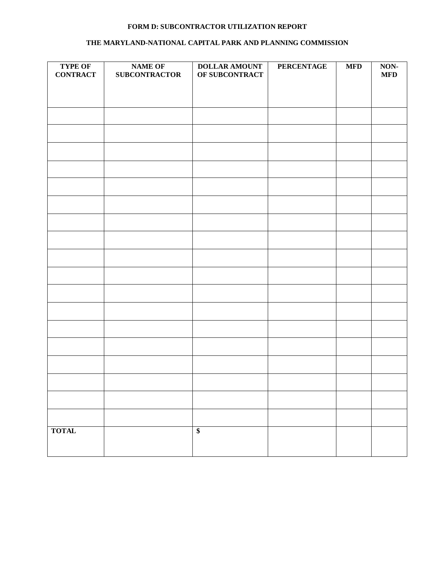# **FORM D: SUBCONTRACTOR UTILIZATION REPORT**

#### **THE MARYLAND-NATIONAL CAPITAL PARK AND PLANNING COMMISSION**

| <b>TYPE OF</b><br><b>CONTRACT</b> | <b>NAME OF</b><br><b>SUBCONTRACTOR</b> | DOLLAR AMOUNT<br>OF SUBCONTRACT | PERCENTAGE | $\ensuremath{\mathbf{MFD}}$ | $\bf{NON-}$<br>$\bf{MFD}$ |
|-----------------------------------|----------------------------------------|---------------------------------|------------|-----------------------------|---------------------------|
|                                   |                                        |                                 |            |                             |                           |
|                                   |                                        |                                 |            |                             |                           |
|                                   |                                        |                                 |            |                             |                           |
|                                   |                                        |                                 |            |                             |                           |
|                                   |                                        |                                 |            |                             |                           |
|                                   |                                        |                                 |            |                             |                           |
|                                   |                                        |                                 |            |                             |                           |
|                                   |                                        |                                 |            |                             |                           |
|                                   |                                        |                                 |            |                             |                           |
|                                   |                                        |                                 |            |                             |                           |
|                                   |                                        |                                 |            |                             |                           |
|                                   |                                        |                                 |            |                             |                           |
|                                   |                                        |                                 |            |                             |                           |
|                                   |                                        |                                 |            |                             |                           |
| <b>TOTAL</b>                      |                                        | $\overline{\$}$                 |            |                             |                           |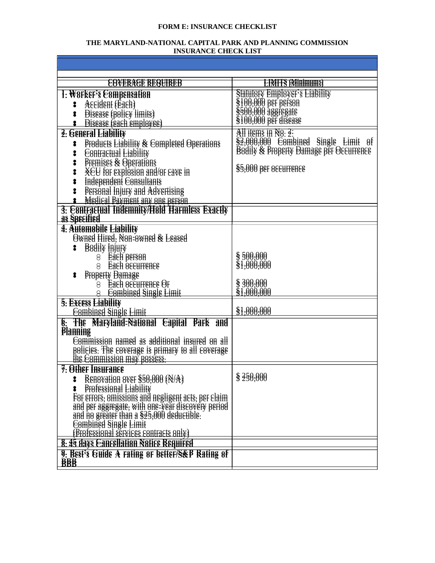#### **FORM E: INSURANCE CHECKLIST**

#### **THE MARYLAND-NATIONAL CAPITAL PARK AND PLANNING COMMISSION INSURANCE CHECK LIST**

| <del>EOVERACE REQUIRED</del>                                                                                                                                       | <b>EENIFFS (Minimums)</b>                                                                   |
|--------------------------------------------------------------------------------------------------------------------------------------------------------------------|---------------------------------------------------------------------------------------------|
| 1: WOFKEF's E8mpensation                                                                                                                                           | <b>Statutory Employer's Liability</b>                                                       |
|                                                                                                                                                                    |                                                                                             |
| Assident (Eash)<br>8                                                                                                                                               |                                                                                             |
| Bisease (policy limits)<br>Bisease (each employee)<br>:                                                                                                            | \$100,000 Briptover<br>\$100,000 Ber Berson<br>\$500,000 aggregate<br>\$100,000 Ber disease |
|                                                                                                                                                                    | All items in $N8: 2$ :                                                                      |
| 3. General Liability                                                                                                                                               | $\S$ 3,000,000 E8mbined Single Limit of                                                     |
| <b>Products Liability &amp; Completed Operations</b><br>8                                                                                                          | <b>Bodily &amp; Property Damage per Occurrence</b>                                          |
| <b>E</b> Sentractual Liability<br>Premises & Operations<br>:                                                                                                       |                                                                                             |
| 8                                                                                                                                                                  | \$5,000 per eseurrense                                                                      |
| <b>XEU</b> for explosion and/or cave in<br>8                                                                                                                       |                                                                                             |
| Independent Consultants<br>8                                                                                                                                       |                                                                                             |
|                                                                                                                                                                    |                                                                                             |
| Succession Constitutions<br>Successible Payment any one person<br>S. Contractual Indemnity/Hold Harmless Exactly                                                   |                                                                                             |
| as Specified                                                                                                                                                       |                                                                                             |
| 4: Automobile Liability                                                                                                                                            |                                                                                             |
| Owned Hired, Non-owned & Leased                                                                                                                                    |                                                                                             |
| <b>B</b> adily <b>Highly</b>                                                                                                                                       |                                                                                             |
| 8 <b>Each person</b>                                                                                                                                               | \$500,000                                                                                   |
| 8 Each eseurrence                                                                                                                                                  | \$1,000,000                                                                                 |
| <b>Property Damage</b><br>8                                                                                                                                        |                                                                                             |
| 8 Each securrence Or                                                                                                                                               | \$300,000                                                                                   |
| 8 Eambined Single Limit                                                                                                                                            | \$1,000,000                                                                                 |
| 5: Excess Liability                                                                                                                                                |                                                                                             |
| <b>Eombined Single Limit</b>                                                                                                                                       | \$1,000,000                                                                                 |
| 6: The Maryland-National Eapital Bark and                                                                                                                          |                                                                                             |
| <b>Planning</b>                                                                                                                                                    |                                                                                             |
| Eemmission named as additional insured on all                                                                                                                      |                                                                                             |
| policies. The coverage is primary to all coverage                                                                                                                  |                                                                                             |
| <u>the Eommission may possess:</u>                                                                                                                                 |                                                                                             |
| 7: Other Insurance                                                                                                                                                 | \$350,000                                                                                   |
| REHOVALION OVER \$50,000 (N/A)<br>8                                                                                                                                |                                                                                             |
| <b>Professional Liability</b><br>8                                                                                                                                 |                                                                                             |
| For errors, omissions and negligent acts, per claim                                                                                                                |                                                                                             |
|                                                                                                                                                                    |                                                                                             |
|                                                                                                                                                                    |                                                                                             |
| and per aggregate, with one-year discovery period<br>and no greater than a \$25,000 deductible.<br>Eombined Single Limit<br>(Professional services contracts only) |                                                                                             |
| 8: 45 days Cancellation Notice Required                                                                                                                            |                                                                                             |
| 9: Best's Guide A rating or better/S&B Rating of                                                                                                                   |                                                                                             |
| <b>BBB</b>                                                                                                                                                         |                                                                                             |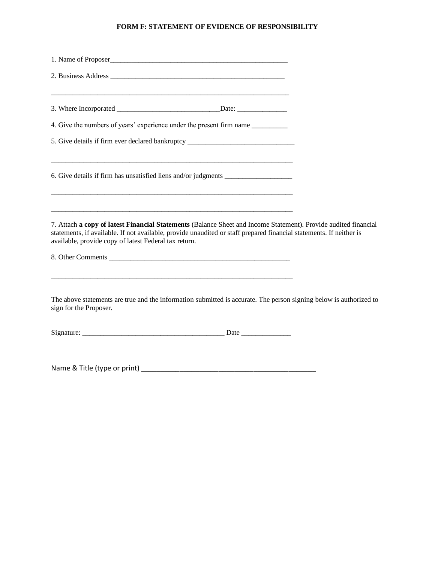#### **FORM F: STATEMENT OF EVIDENCE OF RESPONSIBILITY**

| 4. Give the numbers of years' experience under the present firm name ___________                                                                                                                                                                                                                                     |  |
|----------------------------------------------------------------------------------------------------------------------------------------------------------------------------------------------------------------------------------------------------------------------------------------------------------------------|--|
| 5. Give details if firm ever declared bankruptcy _______________________________                                                                                                                                                                                                                                     |  |
| 6. Give details if firm has unsatisfied liens and/or judgments _________________                                                                                                                                                                                                                                     |  |
| 7. Attach a copy of latest Financial Statements (Balance Sheet and Income Statement). Provide audited financial<br>statements, if available. If not available, provide unaudited or staff prepared financial statements. If neither is<br>available, provide copy of latest Federal tax return.<br>8. Other Comments |  |
| The above statements are true and the information submitted is accurate. The person signing below is authorized to<br>sign for the Proposer.                                                                                                                                                                         |  |
|                                                                                                                                                                                                                                                                                                                      |  |
| Name & Title (type or print) Manual Communication of the Communication of the Communication of the Communication                                                                                                                                                                                                     |  |